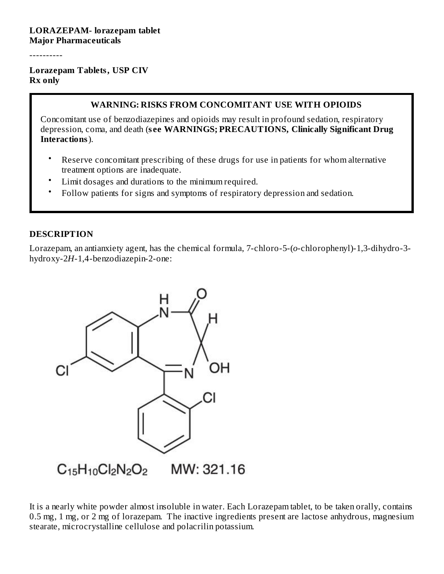----------

#### **Lorazepam Tablets, USP CIV Rx only**

#### **WARNING: RISKS FROM CONCOMITANT USE WITH OPIOIDS**

Concomitant use of benzodiazepines and opioids may result in profound sedation, respiratory depression, coma, and death (**s ee WARNINGS; PRECAUTIONS, Clinically Significant Drug Interactions**).

- Reserve concomitant prescribing of these drugs for use in patients for whom alternative treatment options are inadequate.
- Limit dosages and durations to the minimum required.
- Follow patients for signs and symptoms of respiratory depression and sedation.

#### **DESCRIPTION**

Lorazepam, an antianxiety agent, has the chemical formula, 7-chloro-5-(*o*-chlorophenyl)-1,3-dihydro-3 hydroxy-2*H*-1,4-benzodiazepin-2-one:



It is a nearly white powder almost insoluble in water. Each Lorazepam tablet, to be taken orally, contains 0.5 mg, 1 mg, or 2 mg of lorazepam. The inactive ingredients present are lactose anhydrous, magnesium stearate, microcrystalline cellulose and polacrilin potassium.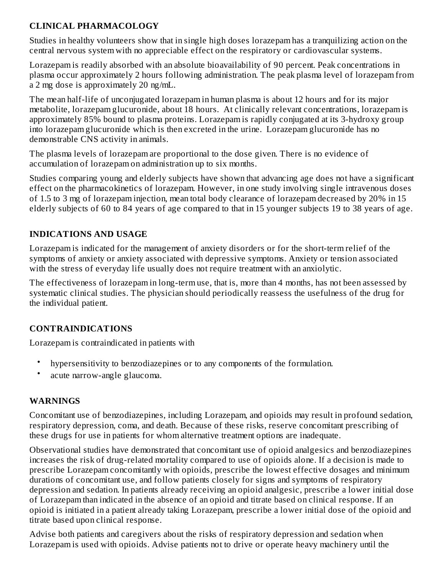## **CLINICAL PHARMACOLOGY**

Studies in healthy volunteers show that in single high doses lorazepam has a tranquilizing action on the central nervous system with no appreciable effect on the respiratory or cardiovascular systems.

Lorazepam is readily absorbed with an absolute bioavailability of 90 percent. Peak concentrations in plasma occur approximately 2 hours following administration. The peak plasma level of lorazepam from a 2 mg dose is approximately 20 ng/mL.

The mean half-life of unconjugated lorazepam in human plasma is about 12 hours and for its major metabolite, lorazepam glucuronide, about 18 hours. At clinically relevant concentrations, lorazepam is approximately 85% bound to plasma proteins. Lorazepam is rapidly conjugated at its 3-hydroxy group into lorazepam glucuronide which is then excreted in the urine. Lorazepam glucuronide has no demonstrable CNS activity in animals.

The plasma levels of lorazepam are proportional to the dose given. There is no evidence of accumulation of lorazepam on administration up to six months.

Studies comparing young and elderly subjects have shown that advancing age does not have a significant effect on the pharmacokinetics of lorazepam. However, in one study involving single intravenous doses of 1.5 to 3 mg of lorazepam injection, mean total body clearance of lorazepam decreased by 20% in 15 elderly subjects of 60 to 84 years of age compared to that in 15 younger subjects 19 to 38 years of age.

#### **INDICATIONS AND USAGE**

Lorazepam is indicated for the management of anxiety disorders or for the short-term relief of the symptoms of anxiety or anxiety associated with depressive symptoms. Anxiety or tension associated with the stress of everyday life usually does not require treatment with an anxiolytic.

The effectiveness of lorazepam in long-term use, that is, more than 4 months, has not been assessed by systematic clinical studies. The physician should periodically reassess the usefulness of the drug for the individual patient.

## **CONTRAINDICATIONS**

Lorazepam is contraindicated in patients with

- hypersensitivity to benzodiazepines or to any components of the formulation.
- acute narrow-angle glaucoma.

## **WARNINGS**

Concomitant use of benzodiazepines, including Lorazepam, and opioids may result in profound sedation, respiratory depression, coma, and death. Because of these risks, reserve concomitant prescribing of these drugs for use in patients for whom alternative treatment options are inadequate.

Observational studies have demonstrated that concomitant use of opioid analgesics and benzodiazepines increases the risk of drug-related mortality compared to use of opioids alone. If a decision is made to prescribe Lorazepam concomitantly with opioids, prescribe the lowest effective dosages and minimum durations of concomitant use, and follow patients closely for signs and symptoms of respiratory depression and sedation. In patients already receiving an opioid analgesic, prescribe a lower initial dose of Lorazepam than indicated in the absence of an opioid and titrate based on clinical response. If an opioid is initiated in a patient already taking Lorazepam, prescribe a lower initial dose of the opioid and titrate based upon clinical response.

Advise both patients and caregivers about the risks of respiratory depression and sedation when Lorazepam is used with opioids. Advise patients not to drive or operate heavy machinery until the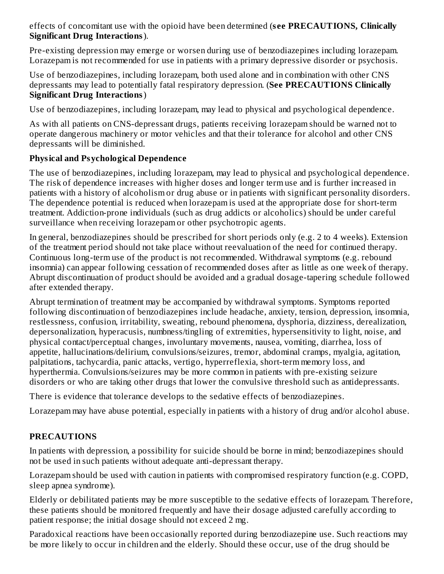effects of concomitant use with the opioid have been determined (**s ee PRECAUTIONS, Clinically Significant Drug Interactions**).

Pre-existing depression may emerge or worsen during use of benzodiazepines including lorazepam. Lorazepam is not recommended for use in patients with a primary depressive disorder or psychosis.

Use of benzodiazepines, including lorazepam, both used alone and in combination with other CNS depressants may lead to potentially fatal respiratory depression. (**See PRECAUTIONS Clinically Significant Drug Interactions**)

Use of benzodiazepines, including lorazepam, may lead to physical and psychological dependence.

As with all patients on CNS-depressant drugs, patients receiving lorazepam should be warned not to operate dangerous machinery or motor vehicles and that their tolerance for alcohol and other CNS depressants will be diminished.

## **Physical and Psychological Dependence**

The use of benzodiazepines, including lorazepam, may lead to physical and psychological dependence. The risk of dependence increases with higher doses and longer term use and is further increased in patients with a history of alcoholism or drug abuse or in patients with significant personality disorders. The dependence potential is reduced when lorazepam is used at the appropriate dose for short-term treatment. Addiction-prone individuals (such as drug addicts or alcoholics) should be under careful surveillance when receiving lorazepam or other psychotropic agents.

In general, benzodiazepines should be prescribed for short periods only (e.g. 2 to 4 weeks). Extension of the treatment period should not take place without reevaluation of the need for continued therapy. Continuous long-term use of the product is not recommended. Withdrawal symptoms (e.g. rebound insomnia) can appear following cessation of recommended doses after as little as one week of therapy. Abrupt discontinuation of product should be avoided and a gradual dosage-tapering schedule followed after extended therapy.

Abrupt termination of treatment may be accompanied by withdrawal symptoms. Symptoms reported following discontinuation of benzodiazepines include headache, anxiety, tension, depression, insomnia, restlessness, confusion, irritability, sweating, rebound phenomena, dysphoria, dizziness, derealization, depersonalization, hyperacusis, numbness/tingling of extremities, hypersensitivity to light, noise, and physical contact/perceptual changes, involuntary movements, nausea, vomiting, diarrhea, loss of appetite, hallucinations/delirium, convulsions/seizures, tremor, abdominal cramps, myalgia, agitation, palpitations, tachycardia, panic attacks, vertigo, hyperreflexia, short-term memory loss, and hyperthermia. Convulsions/seizures may be more common in patients with pre-existing seizure disorders or who are taking other drugs that lower the convulsive threshold such as antidepressants.

There is evidence that tolerance develops to the sedative effects of benzodiazepines.

Lorazepam may have abuse potential, especially in patients with a history of drug and/or alcohol abuse.

## **PRECAUTIONS**

In patients with depression, a possibility for suicide should be borne in mind; benzodiazepines should not be used in such patients without adequate anti-depressant therapy.

Lorazepam should be used with caution in patients with compromised respiratory function (e.g. COPD, sleep apnea syndrome).

Elderly or debilitated patients may be more susceptible to the sedative effects of lorazepam. Therefore, these patients should be monitored frequently and have their dosage adjusted carefully according to patient response; the initial dosage should not exceed 2 mg.

Paradoxical reactions have been occasionally reported during benzodiazepine use. Such reactions may be more likely to occur in children and the elderly. Should these occur, use of the drug should be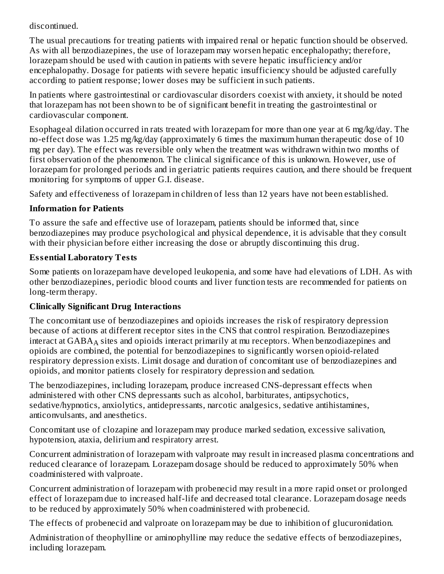#### discontinued.

The usual precautions for treating patients with impaired renal or hepatic function should be observed. As with all benzodiazepines, the use of lorazepam may worsen hepatic encephalopathy; therefore, lorazepam should be used with caution in patients with severe hepatic insufficiency and/or encephalopathy. Dosage for patients with severe hepatic insufficiency should be adjusted carefully according to patient response; lower doses may be sufficient in such patients.

In patients where gastrointestinal or cardiovascular disorders coexist with anxiety, it should be noted that lorazepam has not been shown to be of significant benefit in treating the gastrointestinal or cardiovascular component.

Esophageal dilation occurred in rats treated with lorazepam for more than one year at 6 mg/kg/day. The no-effect dose was 1.25 mg/kg/day (approximately 6 times the maximum human therapeutic dose of 10 mg per day). The effect was reversible only when the treatment was withdrawn within two months of first observation of the phenomenon. The clinical significance of this is unknown. However, use of lorazepam for prolonged periods and in geriatric patients requires caution, and there should be frequent monitoring for symptoms of upper G.I. disease.

Safety and effectiveness of lorazepam in children of less than 12 years have not been established.

## **Information for Patients**

To assure the safe and effective use of lorazepam, patients should be informed that, since benzodiazepines may produce psychological and physical dependence, it is advisable that they consult with their physician before either increasing the dose or abruptly discontinuing this drug.

## **Ess ential Laboratory Tests**

Some patients on lorazepam have developed leukopenia, and some have had elevations of LDH. As with other benzodiazepines, periodic blood counts and liver function tests are recommended for patients on long-term therapy.

# **Clinically Significant Drug Interactions**

The concomitant use of benzodiazepines and opioids increases the risk of respiratory depression because of actions at different receptor sites in the CNS that control respiration. Benzodiazepines interact at  $\mathsf{GABA}_\mathsf{A}$  sites and opioids interact primarily at mu receptors. When benzodiazepines and opioids are combined, the potential for benzodiazepines to significantly worsen opioid-related respiratory depression exists. Limit dosage and duration of concomitant use of benzodiazepines and opioids, and monitor patients closely for respiratory depression and sedation.

The benzodiazepines, including lorazepam, produce increased CNS-depressant effects when administered with other CNS depressants such as alcohol, barbiturates, antipsychotics, sedative/hypnotics, anxiolytics, antidepressants, narcotic analgesics, sedative antihistamines, anticonvulsants, and anesthetics.

Concomitant use of clozapine and lorazepam may produce marked sedation, excessive salivation, hypotension, ataxia, delirium and respiratory arrest.

Concurrent administration of lorazepam with valproate may result in increased plasma concentrations and reduced clearance of lorazepam. Lorazepam dosage should be reduced to approximately 50% when coadministered with valproate.

Concurrent administration of lorazepam with probenecid may result in a more rapid onset or prolonged effect of lorazepam due to increased half-life and decreased total clearance. Lorazepam dosage needs to be reduced by approximately 50% when coadministered with probenecid.

The effects of probenecid and valproate on lorazepam may be due to inhibition of glucuronidation.

Administration of theophylline or aminophylline may reduce the sedative effects of benzodiazepines, including lorazepam.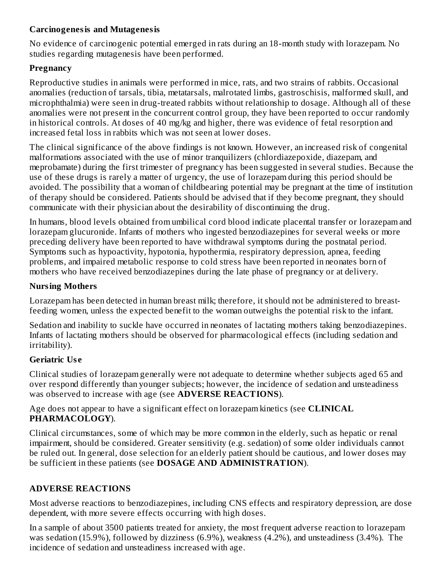### **Carcinogenesis and Mutagenesis**

No evidence of carcinogenic potential emerged in rats during an 18-month study with lorazepam. No studies regarding mutagenesis have been performed.

## **Pregnancy**

Reproductive studies in animals were performed in mice, rats, and two strains of rabbits. Occasional anomalies (reduction of tarsals, tibia, metatarsals, malrotated limbs, gastroschisis, malformed skull, and microphthalmia) were seen in drug-treated rabbits without relationship to dosage. Although all of these anomalies were not present in the concurrent control group, they have been reported to occur randomly in historical controls. At doses of 40 mg/kg and higher, there was evidence of fetal resorption and increased fetal loss in rabbits which was not seen at lower doses.

The clinical significance of the above findings is not known. However, an increased risk of congenital malformations associated with the use of minor tranquilizers (chlordiazepoxide, diazepam, and meprobamate) during the first trimester of pregnancy has been suggested in several studies. Because the use of these drugs is rarely a matter of urgency, the use of lorazepam during this period should be avoided. The possibility that a woman of childbearing potential may be pregnant at the time of institution of therapy should be considered. Patients should be advised that if they become pregnant, they should communicate with their physician about the desirability of discontinuing the drug.

In humans, blood levels obtained from umbilical cord blood indicate placental transfer or lorazepam and lorazepam glucuronide. Infants of mothers who ingested benzodiazepines for several weeks or more preceding delivery have been reported to have withdrawal symptoms during the postnatal period. Symptoms such as hypoactivity, hypotonia, hypothermia, respiratory depression, apnea, feeding problems, and impaired metabolic response to cold stress have been reported in neonates born of mothers who have received benzodiazepines during the late phase of pregnancy or at delivery.

## **Nursing Mothers**

Lorazepam has been detected in human breast milk; therefore, it should not be administered to breastfeeding women, unless the expected benefit to the woman outweighs the potential risk to the infant.

Sedation and inability to suckle have occurred in neonates of lactating mothers taking benzodiazepines. Infants of lactating mothers should be observed for pharmacological effects (including sedation and irritability).

## **Geriatric Us e**

Clinical studies of lorazepam generally were not adequate to determine whether subjects aged 65 and over respond differently than younger subjects; however, the incidence of sedation and unsteadiness was observed to increase with age (see **ADVERSE REACTIONS**).

Age does not appear to have a significant effect on lorazepam kinetics (see **CLINICAL PHARMACOLOGY**).

Clinical circumstances, some of which may be more common in the elderly, such as hepatic or renal impairment, should be considered. Greater sensitivity (e.g. sedation) of some older individuals cannot be ruled out. In general, dose selection for an elderly patient should be cautious, and lower doses may be sufficient in these patients (see **DOSAGE AND ADMINISTRATION**).

# **ADVERSE REACTIONS**

Most adverse reactions to benzodiazepines, including CNS effects and respiratory depression, are dose dependent, with more severe effects occurring with high doses.

In a sample of about 3500 patients treated for anxiety, the most frequent adverse reaction to lorazepam was sedation (15.9%), followed by dizziness (6.9%), weakness (4.2%), and unsteadiness (3.4%). The incidence of sedation and unsteadiness increased with age.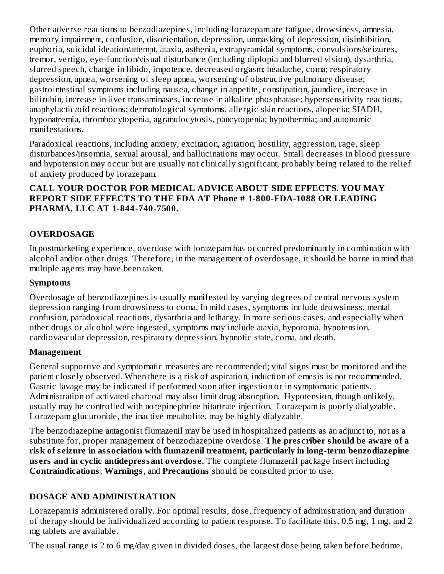Other adverse reactions to benzodiazepines, including lorazepam are fatigue, drowsiness, amnesia, memory impairment, confusion, disorientation, depression, unmasking of depression, disinhibition, euphoria, suicidal ideation/attempt, ataxia, asthenia, extrapyramidal symptoms, convulsions/seizures, tremor, vertigo, eye-function/visual disturbance (including diplopia and blurred vision), dysarthria, slurred speech, change in libido, impotence, decreased orgasm; headache, coma; respiratory depression, apnea, worsening of sleep apnea, worsening of obstructive pulmonary disease; gastrointestinal symptoms including nausea, change in appetite, constipation, jaundice, increase in bilirubin, increase in liver transaminases, increase in alkaline phosphatase; hypersensitivity reactions, anaphylactic/oid reactions; dermatological symptoms, allergic skin reactions, alopecia; SIADH, hyponatremia, thrombocytopenia, agranulocytosis, pancytopenia; hypothermia; and autonomic manifestations.

Paradoxical reactions, including anxiety, excitation, agitation, hostility, aggression, rage, sleep disturbances/insomnia, sexual arousal, and hallucinations may occur. Small decreases in blood pressure and hypotension may occur but are usually not clinically significant, probably being related to the relief of anxiety produced by lorazepam.

#### **CALL YOUR DOCTOR FOR MEDICAL ADVICE ABOUT SIDE EFFECTS. YOU MAY REPORT SIDE EFFECTS TO THE FDA AT Phone # 1-800-FDA-1088 OR LEADING PHARMA, LLC AT 1-844-740-7500.**

## **OVERDOSAGE**

In postmarketing experience, overdose with lorazepam has occurred predominantly in combination with alcohol and/or other drugs. Therefore, in the management of overdosage, it should be borne in mind that multiple agents may have been taken.

#### **Symptoms**

Overdosage of benzodiazepines is usually manifested by varying degrees of central nervous system depression ranging from drowsiness to coma. In mild cases, symptoms include drowsiness, mental confusion, paradoxical reactions, dysarthria and lethargy. In more serious cases, and especially when other drugs or alcohol were ingested, symptoms may include ataxia, hypotonia, hypotension, cardiovascular depression, respiratory depression, hypnotic state, coma, and death.

#### **Management**

General supportive and symptomatic measures are recommended; vital signs must be monitored and the patient closely observed. When there is a risk of aspiration, induction of emesis is not recommended. Gastric lavage may be indicated if performed soon after ingestion or in symptomatic patients. Administration of activated charcoal may also limit drug absorption. Hypotension, though unlikely, usually may be controlled with norepinephrine bitartrate injection. Lorazepam is poorly dialyzable. Lorazepam glucuronide, the inactive metabolite, may be highly dialyzable.

The benzodiazepine antagonist flumazenil may be used in hospitalized patients as an adjunct to, not as a substitute for, proper management of benzodiazepine overdose. **The pres criber should be aware of a risk of s eizure in association with flumazenil treatment, particularly in long-term benzodiazepine us ers and in cyclic antidepressant overdos e.** The complete flumazenil package insert including **Contraindications**, **Warnings**, and **Precautions** should be consulted prior to use.

#### **DOSAGE AND ADMINISTRATION**

Lorazepam is administered orally. For optimal results, dose, frequency of administration, and duration of therapy should be individualized according to patient response. To facilitate this, 0.5 mg, 1 mg, and 2 mg tablets are available.

The usual range is 2 to 6 mg/day given in divided doses, the largest dose being taken before bedtime,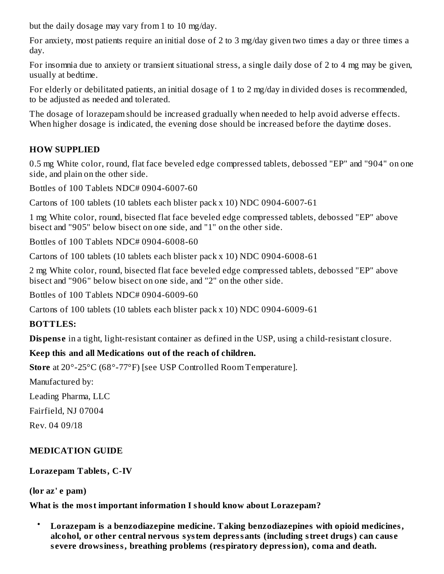but the daily dosage may vary from 1 to 10 mg/day.

For anxiety, most patients require an initial dose of 2 to 3 mg/day given two times a day or three times a day.

For insomnia due to anxiety or transient situational stress, a single daily dose of 2 to 4 mg may be given, usually at bedtime.

For elderly or debilitated patients, an initial dosage of 1 to 2 mg/day in divided doses is recommended, to be adjusted as needed and tolerated.

The dosage of lorazepam should be increased gradually when needed to help avoid adverse effects. When higher dosage is indicated, the evening dose should be increased before the daytime doses.

# **HOW SUPPLIED**

0.5 mg White color, round, flat face beveled edge compressed tablets, debossed "EP" and "904" on one side, and plain on the other side.

Bottles of 100 Tablets NDC# 0904-6007-60

Cartons of 100 tablets (10 tablets each blister pack x 10) NDC 0904-6007-61

1 mg White color, round, bisected flat face beveled edge compressed tablets, debossed "EP" above bisect and "905" below bisect on one side, and "1" on the other side.

Bottles of 100 Tablets NDC# 0904-6008-60

Cartons of 100 tablets (10 tablets each blister pack x 10) NDC 0904-6008-61

2 mg White color, round, bisected flat face beveled edge compressed tablets, debossed "EP" above bisect and "906" below bisect on one side, and "2" on the other side.

Bottles of 100 Tablets NDC# 0904-6009-60

Cartons of 100 tablets (10 tablets each blister pack x 10) NDC 0904-6009-61

## **BOTTLES:**

**Dispense** in a tight, light-resistant container as defined in the USP, using a child-resistant closure.

# **Keep this and all Medications out of the reach of children.**

**Store** at 20°-25°C (68°-77°F) [see USP Controlled Room Temperature].

Manufactured by:

Leading Pharma, LLC

Fairfield, NJ 07004

Rev. 04 09/18

# **MEDICATION GUIDE**

**Lorazepam Tablets, C-IV**

**(lor az' e pam)**

**What is the most important information I should know about Lorazepam?**

• **Lorazepam is a benzodiazepine medicine. Taking benzodiazepines with opioid medicines, alcohol, or other central nervous system depressants (including street drugs) can caus e s evere drowsiness, breathing problems (respiratory depression), coma and death.**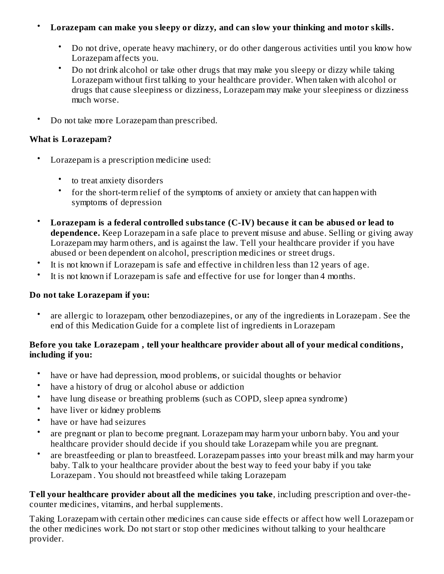#### • **Lorazepam can make you sleepy or dizzy, and can slow your thinking and motor skills.**

- Do not drive, operate heavy machinery, or do other dangerous activities until you know how Lorazepam affects you.
- Do not drink alcohol or take other drugs that may make you sleepy or dizzy while taking Lorazepam without first talking to your healthcare provider. When taken with alcohol or drugs that cause sleepiness or dizziness, Lorazepam may make your sleepiness or dizziness much worse.
- Do not take more Lorazepam than prescribed.

#### **What is Lorazepam?**

- Lorazepam is a prescription medicine used:
	- to treat anxiety disorders
	- for the short-term relief of the symptoms of anxiety or anxiety that can happen with symptoms of depression
- **Lorazepam is a federal controlled substance (C-IV) becaus e it can be abus ed or lead to dependence.** Keep Lorazepam in a safe place to prevent misuse and abuse. Selling or giving away Lorazepam may harm others, and is against the law. Tell your healthcare provider if you have abused or been dependent on alcohol, prescription medicines or street drugs.
- It is not known if Lorazepam is safe and effective in children less than 12 years of age.
- It is not known if Lorazepam is safe and effective for use for longer than 4 months.

#### **Do not take Lorazepam if you:**

• are allergic to lorazepam, other benzodiazepines, or any of the ingredients in Lorazepam . See the end of this Medication Guide for a complete list of ingredients in Lorazepam

## **Before you take Lorazepam , tell your healthcare provider about all of your medical conditions, including if you:**

- have or have had depression, mood problems, or suicidal thoughts or behavior
- have a history of drug or alcohol abuse or addiction
- have lung disease or breathing problems (such as COPD, sleep apnea syndrome)
- have liver or kidney problems
- have or have had seizures
- are pregnant or plan to become pregnant. Lorazepam may harm your unborn baby. You and your healthcare provider should decide if you should take Lorazepam while you are pregnant.
- are breastfeeding or plan to breastfeed. Lorazepam passes into your breast milk and may harm your baby. Talk to your healthcare provider about the best way to feed your baby if you take Lorazepam . You should not breastfeed while taking Lorazepam

**Tell your healthcare provider about all the medicines you take**, including prescription and over-thecounter medicines, vitamins, and herbal supplements.

Taking Lorazepam with certain other medicines can cause side effects or affect how well Lorazepam or the other medicines work. Do not start or stop other medicines without talking to your healthcare provider.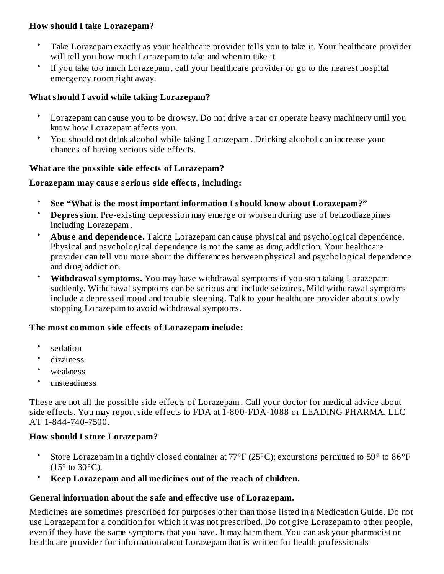#### **How should I take Lorazepam?**

- Take Lorazepam exactly as your healthcare provider tells you to take it. Your healthcare provider will tell you how much Lorazepam to take and when to take it.
- If you take too much Lorazepam , call your healthcare provider or go to the nearest hospital emergency room right away.

#### **What should I avoid while taking Lorazepam?**

- Lorazepam can cause you to be drowsy. Do not drive a car or operate heavy machinery until you know how Lorazepam affects you.
- You should not drink alcohol while taking Lorazepam . Drinking alcohol can increase your chances of having serious side effects.

#### **What are the possible side effects of Lorazepam?**

#### **Lorazepam may caus e s erious side effects, including:**

- **See "What is the most important information I should know about Lorazepam?"**
- **Depression**. Pre-existing depression may emerge or worsen during use of benzodiazepines including Lorazepam .
- **Abus e and dependence.** Taking Lorazepam can cause physical and psychological dependence. Physical and psychological dependence is not the same as drug addiction. Your healthcare provider can tell you more about the differences between physical and psychological dependence and drug addiction.
- **Withdrawal symptoms.** You may have withdrawal symptoms if you stop taking Lorazepam suddenly. Withdrawal symptoms can be serious and include seizures. Mild withdrawal symptoms include a depressed mood and trouble sleeping. Talk to your healthcare provider about slowly stopping Lorazepam to avoid withdrawal symptoms.

#### **The most common side effects of Lorazepam include:**

- sedation
- dizziness
- weakness
- unsteadiness

These are not all the possible side effects of Lorazepam . Call your doctor for medical advice about side effects. You may report side effects to FDA at 1-800-FDA-1088 or LEADING PHARMA, LLC AT 1-844-740-7500.

## **How should I store Lorazepam?**

- Store Lorazepam in a tightly closed container at 77°F (25°C); excursions permitted to 59° to 86°F  $(15^{\circ}$  to  $30^{\circ}$ C).
- **Keep Lorazepam and all medicines out of the reach of children.**

## **General information about the safe and effective us e of Lorazepam.**

Medicines are sometimes prescribed for purposes other than those listed in a Medication Guide. Do not use Lorazepam for a condition for which it was not prescribed. Do not give Lorazepam to other people, even if they have the same symptoms that you have. It may harm them. You can ask your pharmacist or healthcare provider for information about Lorazepam that is written for health professionals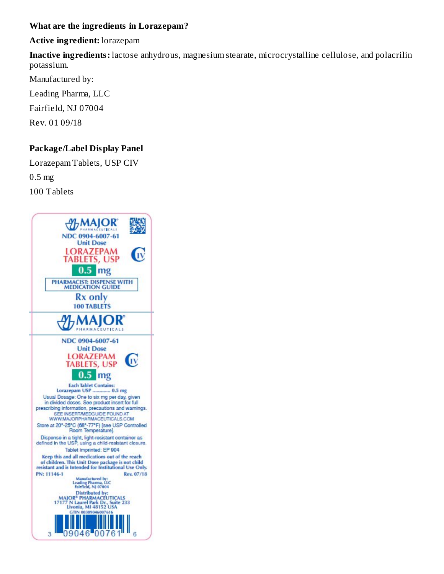#### **What are the ingredients in Lorazepam?**

#### **Active ingredient:** lorazepam

**Inactive ingredients:** lactose anhydrous, magnesium stearate, microcrystalline cellulose, and polacrilin potassium.

Manufactured by:

Leading Pharma, LLC

Fairfield, NJ 07004

Rev. 01 09/18

## **Package/Label Display Panel**

Lorazepam Tablets, USP CIV

0.5 mg

100 Tablets

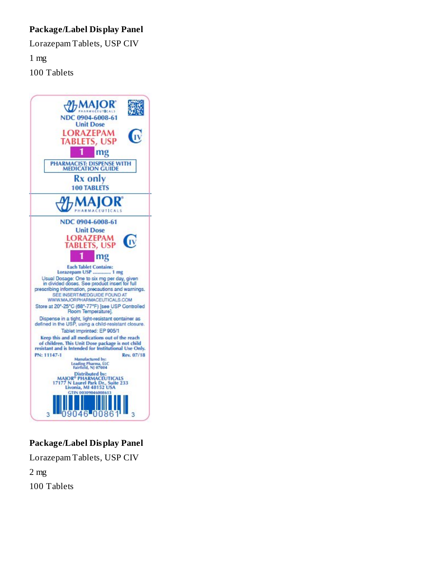## **Package/Label Display Panel**

Lorazepam Tablets, USP CIV

1 mg

100 Tablets



## **Package/Label Display Panel**

Lorazepam Tablets, USP CIV

2 mg

100 Tablets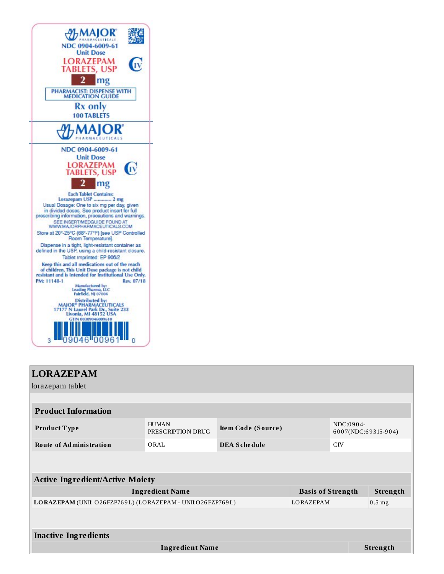| NDC 0904-6009-61<br><b>Unit Dose</b>                                                                                                                                                                                                     |
|------------------------------------------------------------------------------------------------------------------------------------------------------------------------------------------------------------------------------------------|
| EPAM<br>JSP                                                                                                                                                                                                                              |
| PHARMACIST: DISPENSE WITH<br><b>MEDICATION GUIDE</b>                                                                                                                                                                                     |
| Rx only<br><b>100 TABLETS</b>                                                                                                                                                                                                            |
|                                                                                                                                                                                                                                          |
| NDC 0904-6009-61<br><b>Unit Dose</b><br><b>AZEPAM</b><br>ETS, USP                                                                                                                                                                        |
| mg                                                                                                                                                                                                                                       |
| <b>Each Tablet Contains:</b><br>Lorazepam USP  2 mg<br>Usual Dosage: One to six mg per day, given<br>in divided doses. See product insert for full<br>prescribing information, precautions and warnings.<br>SEE INSERTAMEDGUIDE FOUND AT |
| WWW.MAJORPHARMACEUTICALS.COM<br>Store at 20°-25°C (68°-77°F) [see USP Controlled<br>Room Temperature].                                                                                                                                   |
| Dispense in a tight, light-resistant container as<br>defined in the USP, using a child-resistant closure.                                                                                                                                |
| Tablet Imprinted: EP 906/2<br>Keep this and all medications out of the reach<br>of children. This Unit Dose package is not child<br>resistant and is Intended for Institutional Use Only.<br>PM: 11148-1<br>Rev. 07/18                   |
| Manufactured by:<br>Leading Pharma, LLC<br>Fairfield, NJ 07004                                                                                                                                                                           |
| Distributed by:<br><b>MAJOR<sup>®</sup> PHARMACEUTICALS</b><br>17177 N Laurel Park Dr., Suite 233<br>Livonia, MI 48152 USA<br>GTIN 00309046009610                                                                                        |
|                                                                                                                                                                                                                                          |

| <b>LORAZEPAM</b>                                           |                                   |                     |          |                                  |                 |  |
|------------------------------------------------------------|-----------------------------------|---------------------|----------|----------------------------------|-----------------|--|
| lorazepam tablet                                           |                                   |                     |          |                                  |                 |  |
|                                                            |                                   |                     |          |                                  |                 |  |
| <b>Product Information</b>                                 |                                   |                     |          |                                  |                 |  |
| Product Type                                               | <b>HUMAN</b><br>PRESCRIPTION DRUG | Item Code (Source)  |          | NDC:0904-<br>6007(NDC:69315-904) |                 |  |
| <b>Route of Administration</b>                             | ORAL                              | <b>DEA Schedule</b> |          | C <sub>IV</sub>                  |                 |  |
|                                                            |                                   |                     |          |                                  |                 |  |
| <b>Active Ingredient/Active Moiety</b>                     |                                   |                     |          |                                  |                 |  |
| <b>Ingredient Name</b>                                     | <b>Basis of Strength</b>          |                     | Strength |                                  |                 |  |
| LORAZEPAM (UNII: O26FZP769L) (LORAZEPAM - UNII:O26FZP769L) | <b>LORAZEPAM</b>                  |                     | $0.5$ mg |                                  |                 |  |
|                                                            |                                   |                     |          |                                  |                 |  |
| <b>Inactive Ingredients</b>                                |                                   |                     |          |                                  |                 |  |
|                                                            | <b>Ingredient Name</b>            |                     |          |                                  | <b>Strength</b> |  |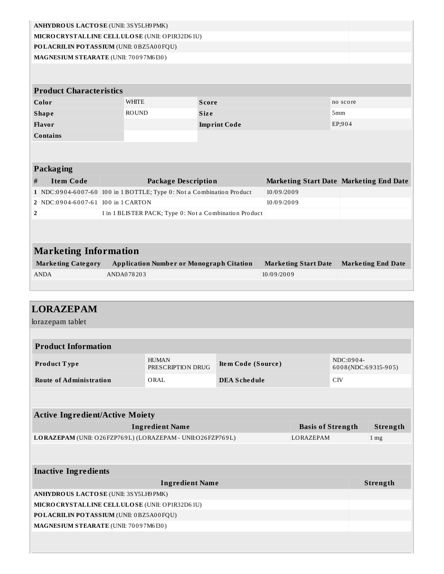| ANHYDROUS LACTOSE (UNII: 3SY5LH9PMK)                                  |                          |              |                                                        |              |                     |            |                             |                 |                                                |
|-----------------------------------------------------------------------|--------------------------|--------------|--------------------------------------------------------|--------------|---------------------|------------|-----------------------------|-----------------|------------------------------------------------|
| MICRO CRYSTALLINE CELLULO SE (UNII: OP1R32D61U)                       |                          |              |                                                        |              |                     |            |                             |                 |                                                |
| POLACRILIN POTASSIUM (UNII: 0BZ5A00FQU)                               |                          |              |                                                        |              |                     |            |                             |                 |                                                |
| MAGNESIUM STEARATE (UNII: 70097M6I30)                                 |                          |              |                                                        |              |                     |            |                             |                 |                                                |
|                                                                       |                          |              |                                                        |              |                     |            |                             |                 |                                                |
|                                                                       |                          |              |                                                        |              |                     |            |                             |                 |                                                |
| <b>Product Characteristics</b>                                        |                          |              |                                                        |              |                     |            |                             |                 |                                                |
| Color                                                                 |                          | WHITE        |                                                        | <b>Score</b> |                     |            |                             | no score        |                                                |
| <b>Shape</b>                                                          |                          | <b>ROUND</b> |                                                        | <b>Size</b>  |                     |            |                             | 5mm             |                                                |
| <b>Flavor</b>                                                         |                          |              |                                                        |              | <b>Imprint Code</b> |            |                             | EP;904          |                                                |
| <b>Contains</b>                                                       |                          |              |                                                        |              |                     |            |                             |                 |                                                |
|                                                                       |                          |              |                                                        |              |                     |            |                             |                 |                                                |
|                                                                       |                          |              |                                                        |              |                     |            |                             |                 |                                                |
| <b>Packaging</b>                                                      |                          |              |                                                        |              |                     |            |                             |                 |                                                |
| <b>Item Code</b><br>$\#$                                              |                          |              | <b>Package Description</b>                             |              |                     |            |                             |                 | <b>Marketing Start Date Marketing End Date</b> |
| 1 NDC:0904-6007-60 100 in 1 BOTTLE; Type 0: Not a Combination Product |                          |              |                                                        |              |                     | 10/09/2009 |                             |                 |                                                |
| NDC:0904-6007-61 100 in 1 CARTON<br>2                                 |                          |              |                                                        |              |                     | 10/09/2009 |                             |                 |                                                |
| $\mathbf 2$                                                           |                          |              | 1 in 1 BLISTER PACK; Type 0: Not a Combination Product |              |                     |            |                             |                 |                                                |
|                                                                       |                          |              |                                                        |              |                     |            |                             |                 |                                                |
|                                                                       |                          |              |                                                        |              |                     |            |                             |                 |                                                |
|                                                                       |                          |              |                                                        |              |                     |            |                             |                 |                                                |
| <b>Marketing Information</b>                                          |                          |              |                                                        |              |                     |            |                             |                 |                                                |
| <b>Marketing Category</b>                                             |                          |              | <b>Application Number or Monograph Citation</b>        |              |                     |            | <b>Marketing Start Date</b> |                 | <b>Marketing End Date</b>                      |
| <b>ANDA</b>                                                           | ANDA078203<br>10/09/2009 |              |                                                        |              |                     |            |                             |                 |                                                |
|                                                                       |                          |              |                                                        |              |                     |            |                             |                 |                                                |
|                                                                       |                          |              |                                                        |              |                     |            |                             |                 |                                                |
|                                                                       |                          |              |                                                        |              |                     |            |                             |                 |                                                |
|                                                                       |                          |              |                                                        |              |                     |            |                             |                 |                                                |
| lorazepam tablet                                                      |                          |              |                                                        |              |                     |            |                             |                 |                                                |
|                                                                       |                          |              |                                                        |              |                     |            |                             |                 |                                                |
| <b>LORAZEPAM</b><br><b>Product Information</b>                        |                          |              |                                                        |              |                     |            |                             |                 |                                                |
|                                                                       |                          |              |                                                        |              |                     |            |                             |                 |                                                |
| Product Type                                                          |                          |              | <b>HUMAN</b><br>PRESCRIPTION DRUG                      |              | Item Code (Source)  |            |                             | NDC:0904-       | 6008(NDC:69315-905)                            |
|                                                                       |                          |              | ORAL                                                   |              |                     |            |                             | C <sub>IV</sub> |                                                |
| <b>Route of Administration</b>                                        |                          |              |                                                        |              | <b>DEA Schedule</b> |            |                             |                 |                                                |
|                                                                       |                          |              |                                                        |              |                     |            |                             |                 |                                                |
|                                                                       |                          |              |                                                        |              |                     |            |                             |                 |                                                |
| <b>Active Ingredient/Active Moiety</b>                                |                          |              |                                                        |              |                     |            |                             |                 |                                                |
|                                                                       |                          |              | <b>Ingredient Name</b>                                 |              |                     |            | <b>Basis of Strength</b>    |                 | Strength                                       |
| LORAZEPAM (UNII: O26FZP769L) (LORAZEPAM - UNII:O26FZP769L)            |                          |              |                                                        |              |                     |            | LORAZEPAM                   |                 | 1 <sub>mg</sub>                                |
|                                                                       |                          |              |                                                        |              |                     |            |                             |                 |                                                |
|                                                                       |                          |              |                                                        |              |                     |            |                             |                 |                                                |
| <b>Inactive Ingredients</b>                                           |                          |              |                                                        |              |                     |            |                             |                 |                                                |
|                                                                       |                          |              | <b>Ingredient Name</b>                                 |              |                     |            |                             |                 | Strength                                       |
| ANHYDROUS LACTOSE (UNII: 3SY5LH9 PMK)                                 |                          |              |                                                        |              |                     |            |                             |                 |                                                |
| MICRO CRYSTALLINE CELLULO SE (UNII: OP1R32D61U)                       |                          |              |                                                        |              |                     |            |                             |                 |                                                |
| POLACRILIN POTASSIUM (UNII: 0BZ5A00FQU)                               |                          |              |                                                        |              |                     |            |                             |                 |                                                |
| MAGNESIUM STEARATE (UNII: 70097M6I30)                                 |                          |              |                                                        |              |                     |            |                             |                 |                                                |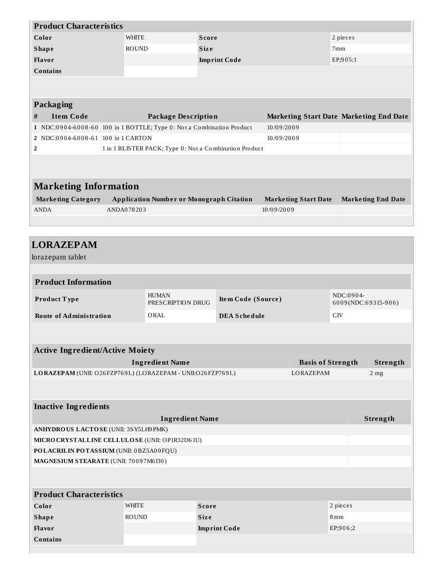| <b>Product Characteristics</b>                                        |              |                                                        |                     |            |                                                |           |                           |
|-----------------------------------------------------------------------|--------------|--------------------------------------------------------|---------------------|------------|------------------------------------------------|-----------|---------------------------|
| Color                                                                 | <b>WHITE</b> |                                                        | <b>Score</b>        |            |                                                | 2 pieces  |                           |
| <b>Shape</b>                                                          | <b>ROUND</b> |                                                        | <b>Size</b>         |            |                                                | 7mm       |                           |
| Flavor                                                                |              |                                                        | <b>Imprint Code</b> |            |                                                | EP;905;1  |                           |
| <b>Contains</b>                                                       |              |                                                        |                     |            |                                                |           |                           |
|                                                                       |              |                                                        |                     |            |                                                |           |                           |
|                                                                       |              |                                                        |                     |            |                                                |           |                           |
| <b>Packaging</b>                                                      |              |                                                        |                     |            |                                                |           |                           |
| <b>Item Code</b><br>#                                                 |              | <b>Package Description</b>                             |                     |            | <b>Marketing Start Date Marketing End Date</b> |           |                           |
| 1 NDC:0904-6008-60 100 in 1 BOTTLE; Type 0: Not a Combination Product |              |                                                        |                     | 10/09/2009 |                                                |           |                           |
| 2 NDC:0904-6008-61 100 in 1 CARTON                                    |              |                                                        |                     | 10/09/2009 |                                                |           |                           |
| $\overline{\mathbf{2}}$                                               |              | 1 in 1 BLISTER PACK; Type 0: Not a Combination Product |                     |            |                                                |           |                           |
|                                                                       |              |                                                        |                     |            |                                                |           |                           |
|                                                                       |              |                                                        |                     |            |                                                |           |                           |
| <b>Marketing Information</b>                                          |              |                                                        |                     |            |                                                |           |                           |
|                                                                       |              |                                                        |                     |            |                                                |           |                           |
|                                                                       |              |                                                        |                     |            |                                                |           |                           |
| <b>Marketing Category</b>                                             |              | <b>Application Number or Monograph Citation</b>        |                     |            | <b>Marketing Start Date</b>                    |           | <b>Marketing End Date</b> |
| <b>ANDA</b>                                                           | ANDA078203   |                                                        |                     | 10/09/2009 |                                                |           |                           |
|                                                                       |              |                                                        |                     |            |                                                |           |                           |
|                                                                       |              |                                                        |                     |            |                                                |           |                           |
| <b>LORAZEPAM</b>                                                      |              |                                                        |                     |            |                                                |           |                           |
| lorazepam tablet                                                      |              |                                                        |                     |            |                                                |           |                           |
|                                                                       |              |                                                        |                     |            |                                                |           |                           |
| <b>Product Information</b>                                            |              |                                                        |                     |            |                                                |           |                           |
|                                                                       |              | <b>HUMAN</b>                                           |                     |            |                                                | NDC:0904- |                           |
| Product Type                                                          |              | PRESCRIPTION DRUG                                      | Item Code (Source)  |            |                                                |           | 6009(NDC:69315-906)       |
| <b>Route of Administration</b>                                        |              | ORAL                                                   | <b>DEA Schedule</b> |            | CIV                                            |           |                           |
|                                                                       |              |                                                        |                     |            |                                                |           |                           |
|                                                                       |              |                                                        |                     |            |                                                |           |                           |
| <b>Active Ingredient/Active Moiety</b>                                |              |                                                        |                     |            |                                                |           |                           |
|                                                                       |              | <b>Ingredient Name</b>                                 |                     |            | <b>Basis of Strength</b>                       |           | Strength                  |
| LORAZEPAM (UNII: O26FZP769L) (LORAZEPAM - UNII:O26FZP769L)            |              |                                                        |                     |            | LORAZEPAM                                      |           | 2 <sub>mg</sub>           |
|                                                                       |              |                                                        |                     |            |                                                |           |                           |
|                                                                       |              |                                                        |                     |            |                                                |           |                           |

| Ingredient Name                                | Strength |
|------------------------------------------------|----------|
| ANHYDROUS LACTOSE (UNII: 3S Y5LH9 PMK)         |          |
| MICRO CRYSTALLINE CELLULOSE (UNII: OP1R32D61U) |          |
| POLACRILIN POTASSIUM (UNII: 0BZ5A00FQU)        |          |
| <b>MAGNESIUM STEARATE (UNII: 70097M6I30)</b>   |          |

# **Product Characteristics Color** WHITE **Score** 2 pieces **Shape** ROUND **Siz e** 8mm **Flavor Imprint Code** EP;906;2 **Contains**